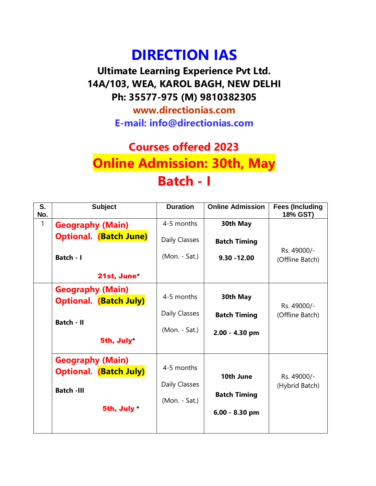# **DIRECTION IAS**

**Ultimate Learning Experience Pvt Ltd. 14A/103, WEA, KAROL BAGH, NEW DELHI Ph: 35577-975 (M) 9810382305**

> **www.directionias.com E-mail: info@directionias.com**

## **Courses offered 2023 Online Admission: 30th, May Batch - I**

| $\overline{\mathsf{s}}$ .<br>No. | <b>Subject</b>                                           | <b>Duration</b> | <b>Online Admission</b> | <b>Fees (Including</b><br>18% GST) |
|----------------------------------|----------------------------------------------------------|-----------------|-------------------------|------------------------------------|
| $\mathbf{1}$                     | <b>Geography (Main)</b>                                  | 4-5 months      | 30th May                |                                    |
|                                  | <b>Optional. (Batch June)</b>                            | Daily Classes   | <b>Batch Timing</b>     |                                    |
|                                  | Batch - I                                                | (Mon. - Sat.)   | $9.30 - 12.00$          | Rs. 49000/-<br>(Offline Batch)     |
|                                  | 21st, June                                               |                 |                         |                                    |
|                                  | <b>Geography (Main)</b><br><b>Optional.</b> (Batch July) | 4-5 months      | 30th May                | Rs. 49000/-                        |
|                                  |                                                          | Daily Classes   | <b>Batch Timing</b>     | (Offline Batch)                    |
|                                  | <b>Batch - II</b><br>5th, July*                          | (Mon. - Sat.)   | 2.00 - 4.30 pm          |                                    |
|                                  | <b>Geography (Main)</b>                                  |                 |                         |                                    |
|                                  | <b>Optional. (Batch July)</b>                            | 4-5 months      |                         |                                    |
|                                  |                                                          | Daily Classes   | 10th June               | Rs. 49000/-<br>(Hybrid Batch)      |
|                                  | <b>Batch -III</b>                                        |                 | <b>Batch Timing</b>     |                                    |
|                                  | 5th, July*                                               | (Mon. - Sat.)   | 6.00 - 8.30 pm          |                                    |
|                                  |                                                          |                 |                         |                                    |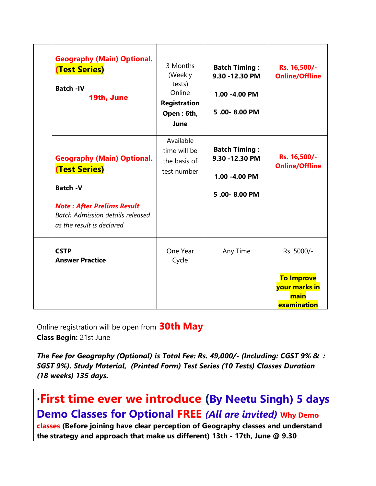| <b>Geography (Main) Optional.</b><br><b>(Test Series)</b><br><b>Batch -IV</b><br>19th, June                                                                                               | 3 Months<br>(Weekly<br>tests)<br>Online<br><b>Registration</b><br>Open: 6th,<br>June | <b>Batch Timing:</b><br>9.30 - 12.30 PM<br>1.00 -4.00 PM<br>5.00-8.00 PM | Rs. 16,500/-<br><b>Online/Offline</b>                                   |
|-------------------------------------------------------------------------------------------------------------------------------------------------------------------------------------------|--------------------------------------------------------------------------------------|--------------------------------------------------------------------------|-------------------------------------------------------------------------|
| <b>Geography (Main) Optional.</b><br><b>(Test Series)</b><br><b>Batch -V</b><br><b>Note: After Prelims Result</b><br><b>Batch Admission details released</b><br>as the result is declared | Available<br>time will be<br>the basis of<br>test number                             | <b>Batch Timing:</b><br>9.30 - 12.30 PM<br>1.00 -4.00 PM<br>5.00-8.00 PM | Rs. 16,500/-<br><b>Online/Offline</b>                                   |
| <b>CSTP</b><br><b>Answer Practice</b>                                                                                                                                                     | One Year<br>Cycle                                                                    | Any Time                                                                 | Rs. 5000/-<br><b>To Improve</b><br>your marks in<br>main<br>examination |

Online registration will be open from **30th May Class Begin:** 21st June

*The Fee for Geography (Optional) is Total Fee: Rs. 49,000/- (Including: CGST 9% & : SGST 9%). Study Material, (Printed Form) Test Series (10 Tests) Classes Duration (18 weeks) 135 days.*

**\*First time ever we introduce (By Neetu Singh) 5 days Demo Classes for Optional FREE** *(All are invited)* **Why Demo classes (Before joining have clear perception of Geography classes and understand the strategy and approach that make us different) 13th - 17th, June @ 9.30**